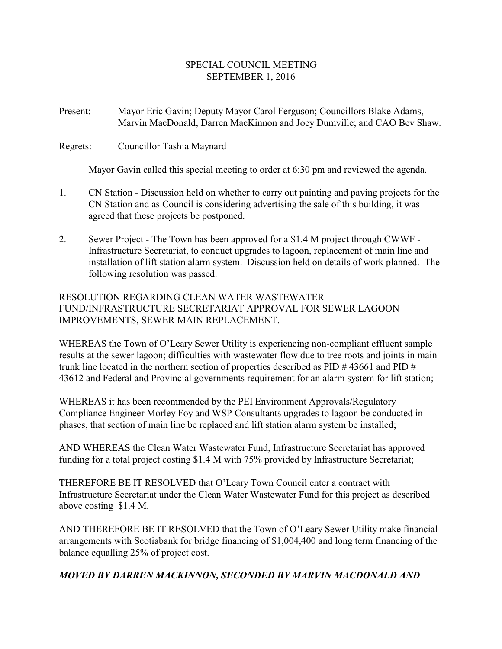### SPECIAL COUNCIL MEETING SEPTEMBER 1, 2016

#### Present: Mayor Eric Gavin; Deputy Mayor Carol Ferguson; Councillors Blake Adams, Marvin MacDonald, Darren MacKinnon and Joey Dumville; and CAO Bev Shaw.

Regrets: Councillor Tashia Maynard

Mayor Gavin called this special meeting to order at 6:30 pm and reviewed the agenda.

- 1. CN Station Discussion held on whether to carry out painting and paving projects for the CN Station and as Council is considering advertising the sale of this building, it was agreed that these projects be postponed.
- 2. Sewer Project The Town has been approved for a \$1.4 M project through CWWF Infrastructure Secretariat, to conduct upgrades to lagoon, replacement of main line and installation of lift station alarm system. Discussion held on details of work planned. The following resolution was passed.

### RESOLUTION REGARDING CLEAN WATER WASTEWATER FUND/INFRASTRUCTURE SECRETARIAT APPROVAL FOR SEWER LAGOON IMPROVEMENTS, SEWER MAIN REPLACEMENT.

WHEREAS the Town of O'Leary Sewer Utility is experiencing non-compliant effluent sample results at the sewer lagoon; difficulties with wastewater flow due to tree roots and joints in main trunk line located in the northern section of properties described as PID # 43661 and PID # 43612 and Federal and Provincial governments requirement for an alarm system for lift station;

WHEREAS it has been recommended by the PEI Environment Approvals/Regulatory Compliance Engineer Morley Foy and WSP Consultants upgrades to lagoon be conducted in phases, that section of main line be replaced and lift station alarm system be installed;

AND WHEREAS the Clean Water Wastewater Fund, Infrastructure Secretariat has approved funding for a total project costing \$1.4 M with 75% provided by Infrastructure Secretariat;

THEREFORE BE IT RESOLVED that O'Leary Town Council enter a contract with Infrastructure Secretariat under the Clean Water Wastewater Fund for this project as described above costing \$1.4 M.

AND THEREFORE BE IT RESOLVED that the Town of O'Leary Sewer Utility make financial arrangements with Scotiabank for bridge financing of \$1,004,400 and long term financing of the balance equalling 25% of project cost.

# *MOVED BY DARREN MACKINNON, SECONDED BY MARVIN MACDONALD AND*